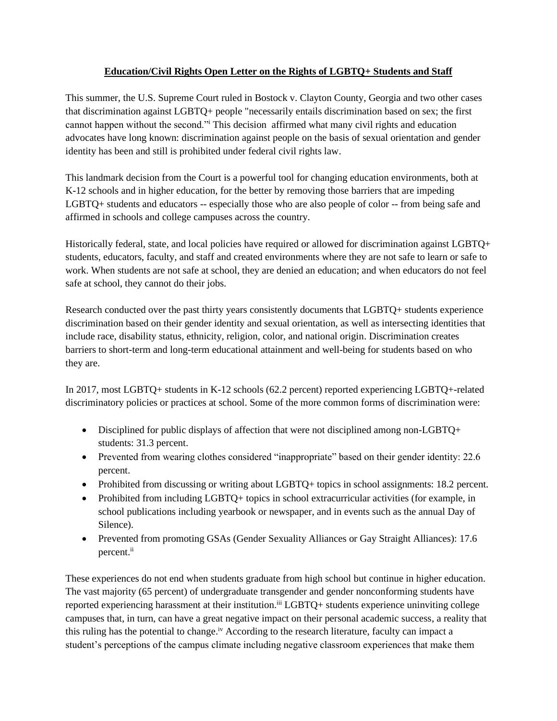## **Education/Civil Rights Open Letter on the Rights of LGBTQ+ Students and Staff**

This summer, the U.S. Supreme Court ruled in Bostock v. Clayton County, Georgia and two other cases that discrimination against LGBTQ+ people "necessarily entails discrimination based on sex; the first cannot happen without the second."<sup>i</sup> This decision affirmed what many civil rights and education advocates have long known: discrimination against people on the basis of sexual orientation and gender identity has been and still is prohibited under federal civil rights law.

This landmark decision from the Court is a powerful tool for changing education environments, both at K-12 schools and in higher education, for the better by removing those barriers that are impeding LGBTQ+ students and educators -- especially those who are also people of color -- from being safe and affirmed in schools and college campuses across the country.

Historically federal, state, and local policies have required or allowed for discrimination against LGBTQ+ students, educators, faculty, and staff and created environments where they are not safe to learn or safe to work. When students are not safe at school, they are denied an education; and when educators do not feel safe at school, they cannot do their jobs.

Research conducted over the past thirty years consistently documents that LGBTQ+ students experience discrimination based on their gender identity and sexual orientation, as well as intersecting identities that include race, disability status, ethnicity, religion, color, and national origin. Discrimination creates barriers to short-term and long-term educational attainment and well-being for students based on who they are.

In 2017, most LGBTQ+ students in K-12 schools (62.2 percent) reported experiencing LGBTQ+-related discriminatory policies or practices at school. Some of the more common forms of discrimination were:

- Disciplined for public displays of affection that were not disciplined among non-LGBTQ+ students: 31.3 percent.
- Prevented from wearing clothes considered "inappropriate" based on their gender identity: 22.6 percent.
- Prohibited from discussing or writing about LGBTQ+ topics in school assignments: 18.2 percent.
- Prohibited from including LGBTQ+ topics in school extracurricular activities (for example, in school publications including yearbook or newspaper, and in events such as the annual Day of Silence).
- Prevented from promoting GSAs (Gender Sexuality Alliances or Gay Straight Alliances): 17.6 percent.<sup>ii</sup>

These experiences do not end when students graduate from high school but continue in higher education. The vast majority (65 percent) of undergraduate transgender and gender nonconforming students have reported experiencing harassment at their institution.<sup>iii</sup> LGBTQ+ students experience uninviting college campuses that, in turn, can have a great negative impact on their personal academic success, a reality that this ruling has the potential to change.<sup>iv</sup> According to the research literature, faculty can impact a student's perceptions of the campus climate including negative classroom experiences that make them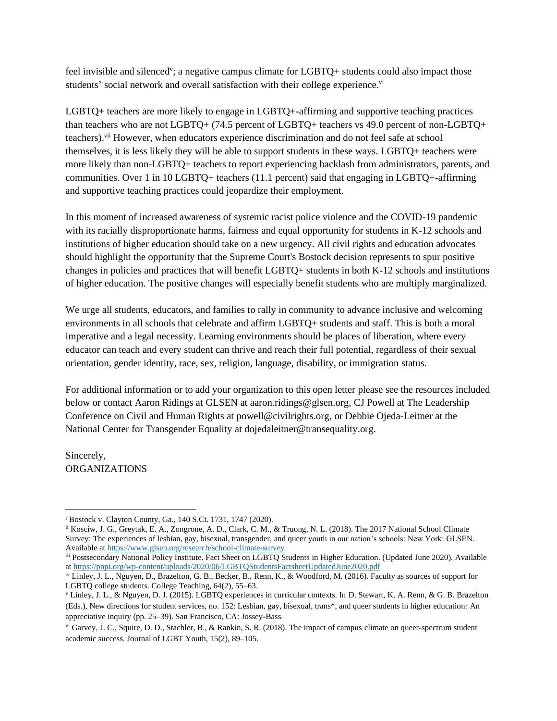feel invisible and silenced<sup>v</sup>; a negative campus climate for LGBTQ+ students could also impact those students' social network and overall satisfaction with their college experience.<sup>vi</sup>

LGBTQ+ teachers are more likely to engage in LGBTQ+-affirming and supportive teaching practices than teachers who are not LGBTQ+ (74.5 percent of LGBTQ+ teachers vs 49.0 percent of non-LGBTQ+ teachers).vii However, when educators experience discrimination and do not feel safe at school themselves, it is less likely they will be able to support students in these ways. LGBTQ+ teachers were more likely than non-LGBTQ+ teachers to report experiencing backlash from administrators, parents, and communities. Over 1 in 10 LGBTQ+ teachers (11.1 percent) said that engaging in LGBTQ+-affirming and supportive teaching practices could jeopardize their employment.

In this moment of increased awareness of systemic racist police violence and the COVID-19 pandemic with its racially disproportionate harms, fairness and equal opportunity for students in K-12 schools and institutions of higher education should take on a new urgency. All civil rights and education advocates should highlight the opportunity that the Supreme Court's Bostock decision represents to spur positive changes in policies and practices that will benefit LGBTQ+ students in both K-12 schools and institutions of higher education. The positive changes will especially benefit students who are multiply marginalized.

We urge all students, educators, and families to rally in community to advance inclusive and welcoming environments in all schools that celebrate and affirm LGBTQ+ students and staff. This is both a moral imperative and a legal necessity. Learning environments should be places of liberation, where every educator can teach and every student can thrive and reach their full potential, regardless of their sexual orientation, gender identity, race, sex, religion, language, disability, or immigration status.

For additional information or to add your organization to this open letter please see the resources included below or contact Aaron Ridings at GLSEN at aaron.ridings@glsen.org, CJ Powell at The Leadership Conference on Civil and Human Rights at powell@civilrights.org, or Debbie Ojeda-Leitner at the National Center for Transgender Equality at dojedaleitner@transequality.org.

Sincerely, ORGANIZATIONS

ii Kosciw, J. G., Greytak, E. A., Zongrone, A. D., Clark, C. M., & Truong, N. L. (2018). The 2017 National School Climate Survey: The experiences of lesbian, gay, bisexual, transgender, and queer youth in our nation's schools: New York: GLSEN. Available at<https://www.glsen.org/research/school-climate-survey>

iii Postsecondary National Policy Institute. Fact Sheet on LGBTQ Students in Higher Education. (Updated June 2020). Available a[t https://pnpi.org/wp-content/uploads/2020/06/LGBTQStudentsFactsheetUpdatedJune2020.pdf](https://pnpi.org/wp-content/uploads/2020/06/LGBTQStudentsFactsheetUpdatedJune2020.pdf)

<sup>i</sup> Bostock v. Clayton County, Ga., 140 S.Ct. 1731, 1747 (2020).

iv Linley, J. L., Nguyen, D., Brazelton, G. B., Becker, B., Renn, K., & Woodford, M. (2016). Faculty as sources of support for LGBTQ college students. College Teaching, 64(2), 55–63.

<sup>v</sup> Linley, J. L., & Nguyen, D. J. (2015). LGBTQ experiences in curricular contexts. In D. Stewart, K. A. Renn, & G. B. Brazelton (Eds.), New directions for student services, no. 152: Lesbian, gay, bisexual, trans\*, and queer students in higher education: An appreciative inquiry (pp. 25–39). San Francisco, CA: Jossey-Bass.

vi Garvey, J. C., Squire, D. D., Stachler, B., & Rankin, S. R. (2018). The impact of campus climate on queer-spectrum student academic success. Journal of LGBT Youth, 15(2), 89–105.